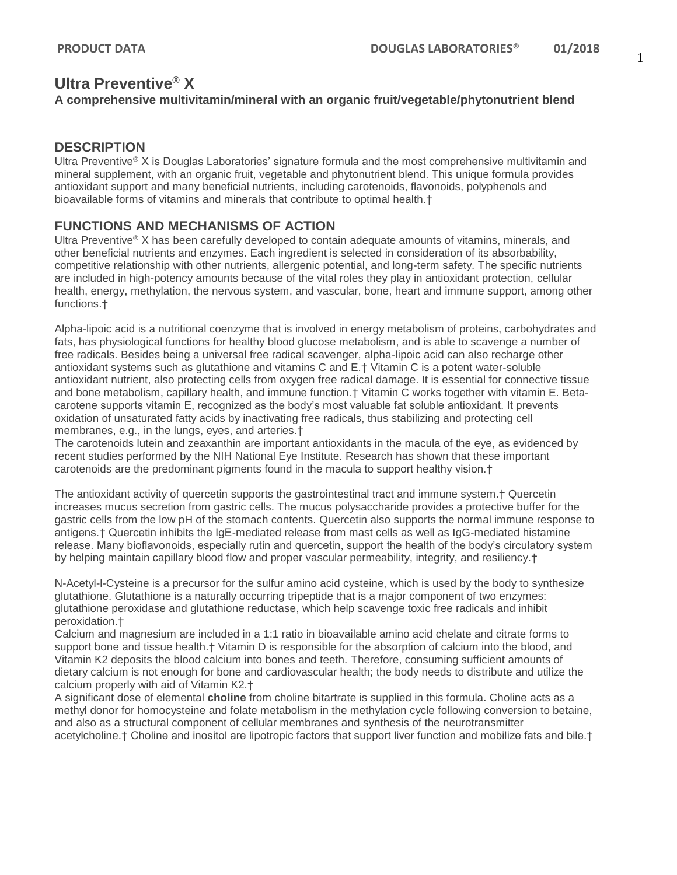# **Ultra Preventive® X A comprehensive multivitamin/mineral with an organic fruit/vegetable/phytonutrient blend**

### **DESCRIPTION**

Ultra Preventive® X is Douglas Laboratories' signature formula and the most comprehensive multivitamin and mineral supplement, with an organic fruit, vegetable and phytonutrient blend. This unique formula provides antioxidant support and many beneficial nutrients, including carotenoids, flavonoids, polyphenols and bioavailable forms of vitamins and minerals that contribute to optimal health.†

# **FUNCTIONS AND MECHANISMS OF ACTION**

Ultra Preventive® X has been carefully developed to contain adequate amounts of vitamins, minerals, and other beneficial nutrients and enzymes. Each ingredient is selected in consideration of its absorbability, competitive relationship with other nutrients, allergenic potential, and long-term safety. The specific nutrients are included in high-potency amounts because of the vital roles they play in antioxidant protection, cellular health, energy, methylation, the nervous system, and vascular, bone, heart and immune support, among other functions.†

Alpha-lipoic acid is a nutritional coenzyme that is involved in energy metabolism of proteins, carbohydrates and fats, has physiological functions for healthy blood glucose metabolism, and is able to scavenge a number of free radicals. Besides being a universal free radical scavenger, alpha-lipoic acid can also recharge other antioxidant systems such as glutathione and vitamins C and E.† Vitamin C is a potent water-soluble antioxidant nutrient, also protecting cells from oxygen free radical damage. It is essential for connective tissue and bone metabolism, capillary health, and immune function.† Vitamin C works together with vitamin E. Betacarotene supports vitamin E, recognized as the body's most valuable fat soluble antioxidant. It prevents oxidation of unsaturated fatty acids by inactivating free radicals, thus stabilizing and protecting cell membranes, e.g., in the lungs, eyes, and arteries.†

The carotenoids lutein and zeaxanthin are important antioxidants in the macula of the eye, as evidenced by recent studies performed by the NIH National Eye Institute. Research has shown that these important carotenoids are the predominant pigments found in the macula to support healthy vision.†

The antioxidant activity of quercetin supports the gastrointestinal tract and immune system.† Quercetin increases mucus secretion from gastric cells. The mucus polysaccharide provides a protective buffer for the gastric cells from the low pH of the stomach contents. Quercetin also supports the normal immune response to antigens.† Quercetin inhibits the IgE-mediated release from mast cells as well as IgG-mediated histamine release. Many bioflavonoids, especially rutin and quercetin, support the health of the body's circulatory system by helping maintain capillary blood flow and proper vascular permeability, integrity, and resiliency.†

N-Acetyl-l-Cysteine is a precursor for the sulfur amino acid cysteine, which is used by the body to synthesize glutathione. Glutathione is a naturally occurring tripeptide that is a major component of two enzymes: glutathione peroxidase and glutathione reductase, which help scavenge toxic free radicals and inhibit peroxidation.†

Calcium and magnesium are included in a 1:1 ratio in bioavailable amino acid chelate and citrate forms to support bone and tissue health.† Vitamin D is responsible for the absorption of calcium into the blood, and Vitamin K2 deposits the blood calcium into bones and teeth. Therefore, consuming sufficient amounts of dietary calcium is not enough for bone and cardiovascular health; the body needs to distribute and utilize the calcium properly with aid of Vitamin K2.†

A significant dose of elemental **choline** from choline bitartrate is supplied in this formula. Choline acts as a methyl donor for homocysteine and folate metabolism in the methylation cycle following conversion to betaine, and also as a structural component of cellular membranes and synthesis of the neurotransmitter acetylcholine.† Choline and inositol are lipotropic factors that support liver function and mobilize fats and bile.†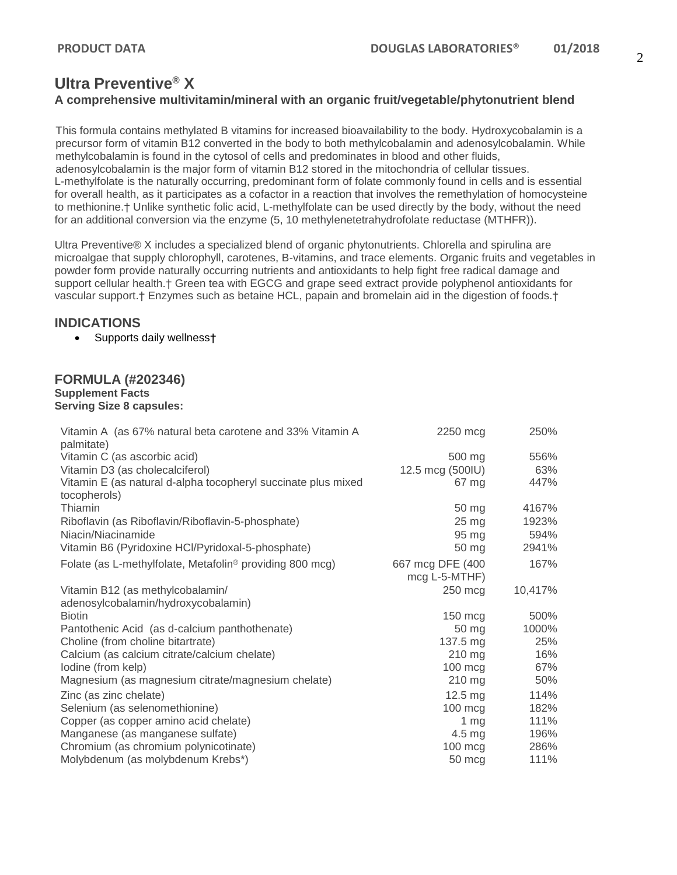# **Ultra Preventive® X A comprehensive multivitamin/mineral with an organic fruit/vegetable/phytonutrient blend**

This formula contains methylated B vitamins for increased bioavailability to the body. Hydroxycobalamin is a precursor form of vitamin B12 converted in the body to both methylcobalamin and adenosylcobalamin. While methylcobalamin is found in the cytosol of cells and predominates in blood and other fluids, adenosylcobalamin is the major form of vitamin B12 stored in the mitochondria of cellular tissues. L-methylfolate is the naturally occurring, predominant form of folate commonly found in cells and is essential for overall health, as it participates as a cofactor in a reaction that involves the remethylation of homocysteine to methionine.† Unlike synthetic folic acid, L-methylfolate can be used directly by the body, without the need for an additional conversion via the enzyme (5, 10 methylenetetrahydrofolate reductase (MTHFR)).

Ultra Preventive® X includes a specialized blend of organic phytonutrients. Chlorella and spirulina are microalgae that supply chlorophyll, carotenes, B-vitamins, and trace elements. Organic fruits and vegetables in powder form provide naturally occurring nutrients and antioxidants to help fight free radical damage and support cellular health.† Green tea with EGCG and grape seed extract provide polyphenol antioxidants for vascular support.† Enzymes such as betaine HCL, papain and bromelain aid in the digestion of foods.†

# **INDICATIONS**

• Supports daily wellness†

#### **FORMULA (#202346) Supplement Facts Serving Size 8 capsules:**

| Vitamin A (as 67% natural beta carotene and 33% Vitamin A<br>palmitate)       | 2250 mcg                          | 250%    |
|-------------------------------------------------------------------------------|-----------------------------------|---------|
| Vitamin C (as ascorbic acid)                                                  | 500 mg                            | 556%    |
| Vitamin D3 (as cholecalciferol)                                               | 12.5 mcg (500IU)                  | 63%     |
| Vitamin E (as natural d-alpha tocopheryl succinate plus mixed<br>tocopherols) | 67 mg                             | 447%    |
| Thiamin                                                                       | 50 mg                             | 4167%   |
| Riboflavin (as Riboflavin/Riboflavin-5-phosphate)                             | $25 \text{ mg}$                   | 1923%   |
| Niacin/Niacinamide                                                            | 95 mg                             | 594%    |
| Vitamin B6 (Pyridoxine HCl/Pyridoxal-5-phosphate)                             | 50 mg                             | 2941%   |
| Folate (as L-methylfolate, Metafolin <sup>®</sup> providing 800 mcg)          | 667 mcg DFE (400<br>mcg L-5-MTHF) | 167%    |
| Vitamin B12 (as methylcobalamin/                                              | 250 mcg                           | 10,417% |
| adenosylcobalamin/hydroxycobalamin)                                           |                                   |         |
| <b>Biotin</b>                                                                 | $150 \text{ m}$                   | 500%    |
| Pantothenic Acid (as d-calcium panthothenate)                                 | 50 mg                             | 1000%   |
| Choline (from choline bitartrate)                                             | 137.5 mg                          | 25%     |
| Calcium (as calcium citrate/calcium chelate)                                  | 210 mg                            | 16%     |
| lodine (from kelp)                                                            | $100 \text{ mc}$                  | 67%     |
| Magnesium (as magnesium citrate/magnesium chelate)                            | 210 mg                            | 50%     |
| Zinc (as zinc chelate)                                                        | $12.5 \text{ mg}$                 | 114%    |
| Selenium (as selenomethionine)                                                | $100 \text{ m}$ cg                | 182%    |
| Copper (as copper amino acid chelate)                                         | 1 mg                              | 111%    |
| Manganese (as manganese sulfate)                                              | $4.5 \text{ mg}$                  | 196%    |
| Chromium (as chromium polynicotinate)                                         | $100 \text{ m}$ cg                | 286%    |
| Molybdenum (as molybdenum Krebs*)                                             | 50 mcg                            | 111%    |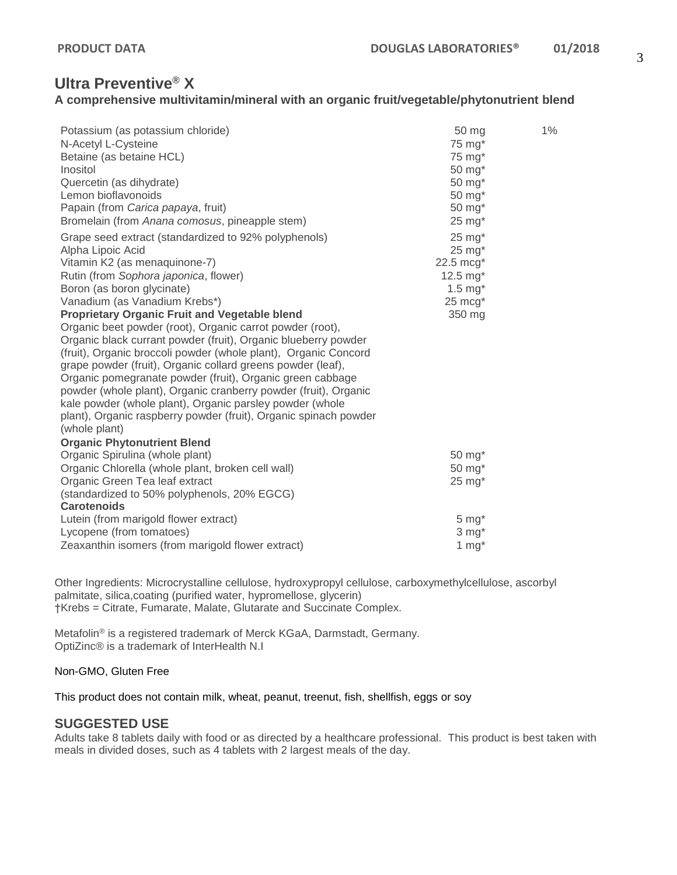# **Ultra Preventive® X**

### **A comprehensive multivitamin/mineral with an organic fruit/vegetable/phytonutrient blend**

| Potassium (as potassium chloride)<br>N-Acetyl L-Cysteine<br>Betaine (as betaine HCL)<br>Inositol | 50 mg<br>75 mg*<br>75 mg*<br>50 mg* | 1% |
|--------------------------------------------------------------------------------------------------|-------------------------------------|----|
| Quercetin (as dihydrate)                                                                         | 50 mg*                              |    |
| Lemon bioflavonoids                                                                              | 50 mg*                              |    |
| Papain (from Carica papaya, fruit)                                                               | 50 mg*                              |    |
| Bromelain (from Anana comosus, pineapple stem)                                                   | $25$ mg $*$                         |    |
| Grape seed extract (standardized to 92% polyphenols)                                             | $25$ mg $*$                         |    |
| Alpha Lipoic Acid                                                                                | $25 \text{ mg}^*$                   |    |
| Vitamin K2 (as menaquinone-7)                                                                    | 22.5 mcg*                           |    |
| Rutin (from Sophora japonica, flower)                                                            | $12.5 \text{ mg}^*$                 |    |
| Boron (as boron glycinate)                                                                       | $1.5$ mg $*$                        |    |
| Vanadium (as Vanadium Krebs*)                                                                    | $25 \text{ mcg}^*$                  |    |
| <b>Proprietary Organic Fruit and Vegetable blend</b>                                             | 350 mg                              |    |
| Organic beet powder (root), Organic carrot powder (root),                                        |                                     |    |
| Organic black currant powder (fruit), Organic blueberry powder                                   |                                     |    |
| (fruit), Organic broccoli powder (whole plant), Organic Concord                                  |                                     |    |
| grape powder (fruit), Organic collard greens powder (leaf),                                      |                                     |    |
| Organic pomegranate powder (fruit), Organic green cabbage                                        |                                     |    |
| powder (whole plant), Organic cranberry powder (fruit), Organic                                  |                                     |    |
| kale powder (whole plant), Organic parsley powder (whole                                         |                                     |    |
| plant), Organic raspberry powder (fruit), Organic spinach powder                                 |                                     |    |
| (whole plant)                                                                                    |                                     |    |
| <b>Organic Phytonutrient Blend</b>                                                               |                                     |    |
| Organic Spirulina (whole plant)                                                                  | 50 mg*                              |    |
| Organic Chlorella (whole plant, broken cell wall)<br>Organic Green Tea leaf extract              | 50 mg*<br>$25 \text{ mg}^*$         |    |
| (standardized to 50% polyphenols, 20% EGCG)                                                      |                                     |    |
| <b>Carotenoids</b>                                                                               |                                     |    |
| Lutein (from marigold flower extract)                                                            | $5 \, \text{mg}^*$                  |    |
| Lycopene (from tomatoes)                                                                         | $3 \text{ mg}^*$                    |    |
| Zeaxanthin isomers (from marigold flower extract)                                                | 1 $mg*$                             |    |

Other Ingredients: Microcrystalline cellulose, hydroxypropyl cellulose, carboxymethylcellulose, ascorbyl palmitate, silica,coating (purified water, hypromellose, glycerin) †Krebs = Citrate, Fumarate, Malate, Glutarate and Succinate Complex.

Metafolin® is a registered trademark of Merck KGaA, Darmstadt, Germany. OptiZinc® is a trademark of InterHealth N.I

#### Non-GMO, Gluten Free

This product does not contain milk, wheat, peanut, treenut, fish, shellfish, eggs or soy

#### **SUGGESTED USE**

Adults take 8 tablets daily with food or as directed by a healthcare professional. This product is best taken with meals in divided doses, such as 4 tablets with 2 largest meals of the day.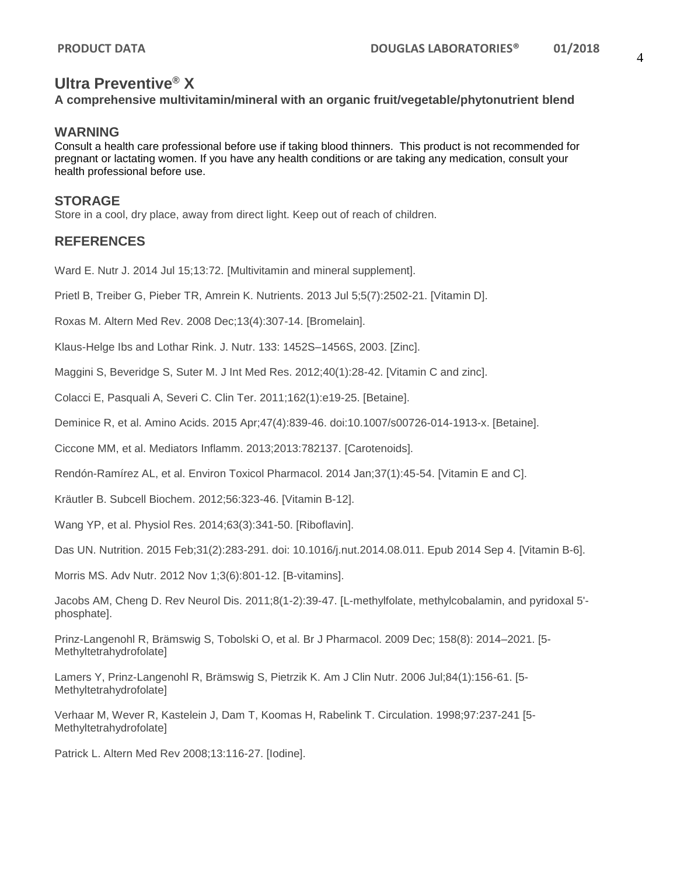# **Ultra Preventive® X**

**A comprehensive multivitamin/mineral with an organic fruit/vegetable/phytonutrient blend**

#### **WARNING**

Consult a health care professional before use if taking blood thinners. This product is not recommended for pregnant or lactating women. If you have any health conditions or are taking any medication, consult your health professional before use.

#### **STORAGE**

Store in a cool, dry place, away from direct light. Keep out of reach of children.

# **REFERENCES**

Ward E. Nutr J. 2014 Jul 15;13:72. [Multivitamin and mineral supplement].

Prietl B, Treiber G, Pieber TR, Amrein K. Nutrients. 2013 Jul 5;5(7):2502-21. [Vitamin D].

Roxas M. Altern Med Rev. 2008 Dec;13(4):307-14. [Bromelain].

Klaus-Helge Ibs and Lothar Rink. J. Nutr. 133: 1452S–1456S, 2003. [Zinc].

Maggini S, Beveridge S, Suter M. J Int Med Res. 2012;40(1):28-42. [Vitamin C and zinc].

Colacci E, Pasquali A, Severi C. Clin Ter. 2011;162(1):e19-25. [Betaine].

Deminice R, et al. Amino Acids. 2015 Apr;47(4):839-46. doi:10.1007/s00726-014-1913-x. [Betaine].

Ciccone MM, et al. Mediators Inflamm. 2013;2013:782137. [Carotenoids].

Rendón-Ramírez AL, et al. Environ Toxicol Pharmacol. 2014 Jan;37(1):45-54. [Vitamin E and C].

Kräutler B. Subcell Biochem. 2012;56:323-46. [Vitamin B-12].

Wang YP, et al. Physiol Res. 2014;63(3):341-50. [Riboflavin].

Das UN. Nutrition. 2015 Feb;31(2):283-291. doi: 10.1016/j.nut.2014.08.011. Epub 2014 Sep 4. [Vitamin B-6].

Morris MS. Adv Nutr. 2012 Nov 1;3(6):801-12. [B-vitamins].

Jacobs AM, Cheng D. Rev Neurol Dis. 2011;8(1-2):39-47. [L-methylfolate, methylcobalamin, and pyridoxal 5' phosphate].

Prinz-Langenohl R, Brämswig S, Tobolski O, et al. Br J Pharmacol. 2009 Dec; 158(8): 2014–2021. [5- Methyltetrahydrofolate]

Lamers Y, Prinz-Langenohl R, Brämswig S, Pietrzik K. Am J Clin Nutr. 2006 Jul;84(1):156-61. [5- Methyltetrahydrofolate]

Verhaar M, Wever R, Kastelein J, Dam T, Koomas H, Rabelink T. Circulation. 1998;97:237-241 [5- Methyltetrahydrofolate]

Patrick L. Altern Med Rev 2008;13:116-27. [Iodine].